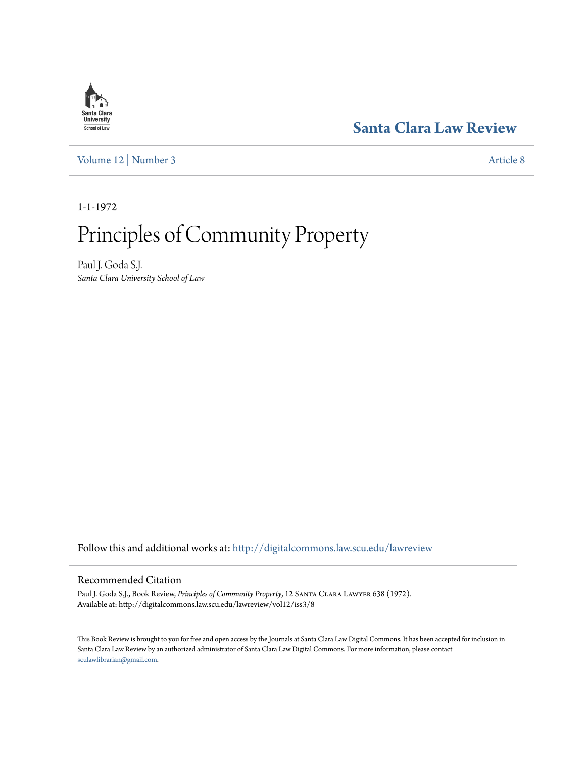## **[Santa Clara Law Review](http://digitalcommons.law.scu.edu/lawreview?utm_source=digitalcommons.law.scu.edu%2Flawreview%2Fvol12%2Fiss3%2F8&utm_medium=PDF&utm_campaign=PDFCoverPages)**

[Volume 12](http://digitalcommons.law.scu.edu/lawreview/vol12?utm_source=digitalcommons.law.scu.edu%2Flawreview%2Fvol12%2Fiss3%2F8&utm_medium=PDF&utm_campaign=PDFCoverPages) | [Number 3](http://digitalcommons.law.scu.edu/lawreview/vol12/iss3?utm_source=digitalcommons.law.scu.edu%2Flawreview%2Fvol12%2Fiss3%2F8&utm_medium=PDF&utm_campaign=PDFCoverPages) [Article 8](http://digitalcommons.law.scu.edu/lawreview/vol12/iss3/8?utm_source=digitalcommons.law.scu.edu%2Flawreview%2Fvol12%2Fiss3%2F8&utm_medium=PDF&utm_campaign=PDFCoverPages)

1-1-1972

## Principles of Community Property

Paul J. Goda S.J. *Santa Clara University School of Law*

Follow this and additional works at: [http://digitalcommons.law.scu.edu/lawreview](http://digitalcommons.law.scu.edu/lawreview?utm_source=digitalcommons.law.scu.edu%2Flawreview%2Fvol12%2Fiss3%2F8&utm_medium=PDF&utm_campaign=PDFCoverPages)

## Recommended Citation

Paul J. Goda S.J., Book Review, *Principles of Community Property*, 12 Santa Clara Lawyer 638 (1972). Available at: http://digitalcommons.law.scu.edu/lawreview/vol12/iss3/8

This Book Review is brought to you for free and open access by the Journals at Santa Clara Law Digital Commons. It has been accepted for inclusion in Santa Clara Law Review by an authorized administrator of Santa Clara Law Digital Commons. For more information, please contact [sculawlibrarian@gmail.com](mailto:sculawlibrarian@gmail.com).

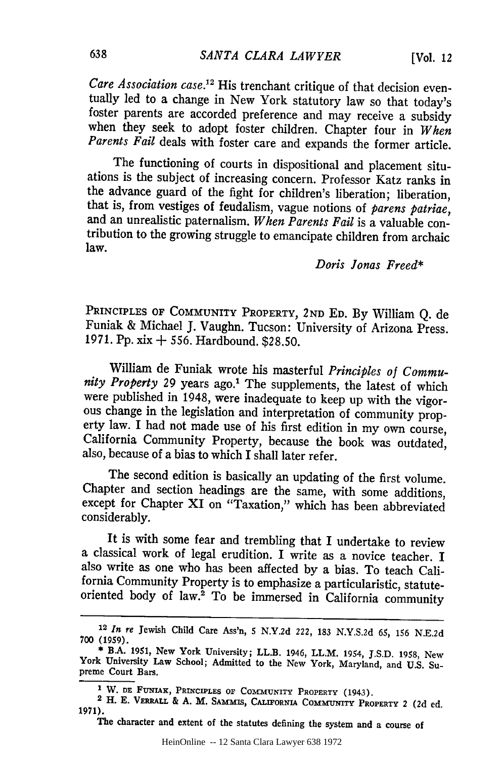*Care Association case.*<sup>12</sup> His trenchant critique of that decision eventually led to a change in New York statutory law so that today's foster parents are accorded preference and may receive a subsidy when they seek to adopt foster children. Chapter four in *When Parents Fail* deals with foster care and expands the former article.

The functioning of courts in dispositional and placement situations is the subject of increasing concern. Professor Katz ranks in that is, from vestiges of feudalism, vague notions of *parens patriae*, and an unrealistic paternalism. *When Parents Fail* is a valuable contribution to the growing struggle to emancipate children from archaic law.

## *Doris Jonas Freed\**

PRINCIPLES OF COMMUNITY PROPERTY, **2ND ED.** By William Q. de Funiak & Michael J. Vaughn. Tucson: University of Arizona Press. 1971. Pp. xix **+** 556. Hardbound. \$28.50.

William de Funiak wrote his masterful *Principles of Community Property* 29 years ago.' The supplements, the latest of which were published in 1948, were inadequate to keep up with the vigorous change in the legislation and interpretation of community property law. I had not made use of his first edition in my own course, California Community Property, because the book was outdated, also, because of a bias to which I shall later refer.

The second edition is basically an updating of the first volume. Chapter and section headings are the same, with some additions, except for Chapter XI on "Taxation," which has been abbreviated considerably.

It is with some fear and trembling that I undertake to review a classical work of legal erudition. I write as a novice teacher. I also write as one who has been affected by a bias. To teach California Community Property is to emphasize a particularistic, statuteoriented body of law.2 To be immersed in California community

The character and extent of the statutes defining the system and a course of

**<sup>12</sup>***In re* Jewish Child Care Ass'n, 5 **N.Y.2d** 222, 183 N.Y.S.2d 65, 156 **N.E.2d** 700 (1959).

<sup>\*</sup> B.A. **1951,** New York University; LL.B. 1946, LL.M. 1954, J.S.D. 1958, New York University Law School; Admitted to the New York, Maryland, and U.S. Supreme Court Bars.

**I**W. DE FUNIAK, PRINCIPLES OF COMMUNITY PROPERTY (1943). <sup>2</sup> H. E. VERRALL & A. M. SAMMIS, CALIFORNIA COMMUNITY PROPERTY 2 (2d ed. 1971).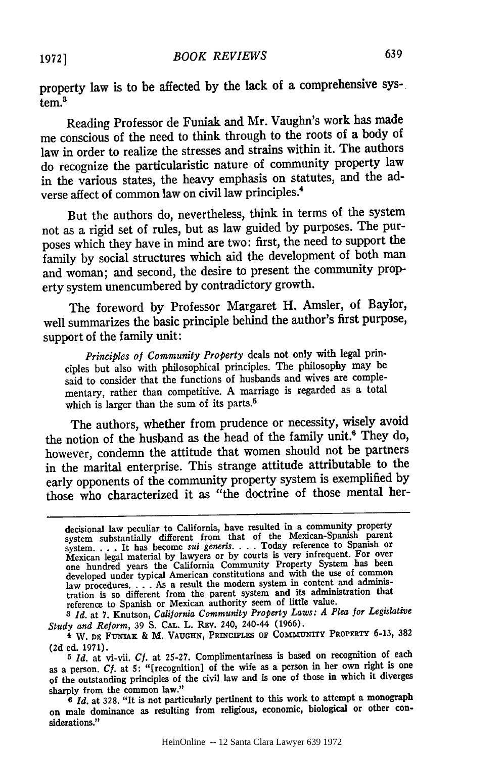property law is to be affected **by** the lack of a comprehensive sys-. **tem.3**

Reading Professor de Funiak and Mr. Vaughn's work has made me conscious of the need to think through to the roots of a body of law in order to realize the stresses and strains within it. The authors do recognize the particularistic nature of community property law in the various states, the heavy emphasis on statutes, and the adverse affect of common law on civil law principles.<sup>4</sup>

But the authors do, nevertheless, think in terms of the system not as a rigid set of rules, but as law guided **by** purposes. The purposes which they have in mind are two: first, the need to support the family **by** social structures which aid the development of both man and woman; and second, the desire to present the community property system unencumbered **by** contradictory growth.

The foreword **by** Professor Margaret H. Amsler, of Baylor, well summarizes the basic principle behind the author's first purpose, support of the family unit:

*Principles of Community Property* deals not only with legal principles but also with philosophical principles. The philosophy may be said to consider that the functions of husbands and wives are complementary, rather than competitive. A marriage is regarded as a total which is larger than the sum of its parts.<sup>5</sup>

The authors, whether from prudence or necessity, wisely avoid the notion of the husband as the head of the family unit.<sup>6</sup> They do, however, condemn the attitude that women should not be partners in the marital enterprise. This strange attitude attributable to the early opponents of the community property system is exemplified by those who characterized it as "the doctrine of those mental her-

*3 Id.* at 7. Knutson, *California Community Property Laws: A Plea for Legislative Study and Reform, 39 S. CAL. L. REV. 240, 240-44 (1966).* 

decisional law peculiar to California, have resulted in a community property deterministantially different from that of the Mexican-Spanish parent<br>system ... It has become *sui generis*... Today reference to Spanish of<br>Mexican legal material by lawyers or by courts is very infrequent. For over one hundred years the California Community Property System has been developed under typical American constitutions and with the use of common law procedures **....** As a result the modern system in content and adminis-tration is so different from the parent system and its administration that reference to Spanish or Mexican authority seem of little value.

**<sup>4</sup>** W. **DE** FuNiAK & M. **VAUGHN,** PRINCIPLES **OF** COMMUNITY PROPERTY **6-13, 382 (2d** ed. **1971).**

**<sup>5</sup>** *Id.* at vi-vii. **Cf.** at **25-27.** Complimentariness is based on recognition of each as a person. *Cf.* at **5:** "[recognition] of the wife as a person in her own right is one of the outstanding principles of the civil law and is one of those in which it diverges sharply from the common law."

<sup>&</sup>lt;sup>6</sup> *Id.* at 328. "It is not particularly pertinent to this work to attempt a monograph on male dominance as resulting from religious, economic, biological or other considerations."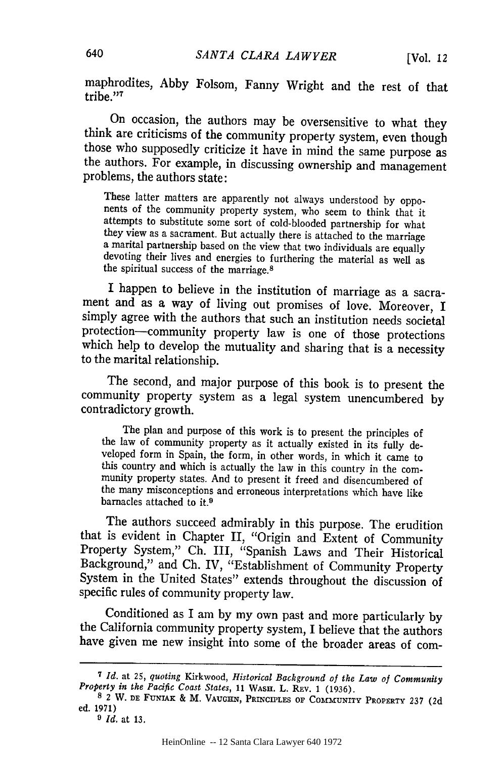maphrodites, Abby Folsom, Fanny Wright and the rest of that tribe<sup>"7</sup>

On occasion, the authors may be oversensitive to what they think are criticisms of the community property system, even though those who supposedly criticize it have in mind the same purpose as the authors. For example, in discussing ownership and management problems, the authors state:

These latter matters are apparently not always understood by oppo-<br>nents of the community property system, who seem to think that it<br>attempts to substitute some sort of cold-blooded partnership for what they view as a sacrament. But actually there is attached to the marriage a marital partnership based on the view that two individuals are equally devoting their lives and energies to furthering the material as well as the spiritual success of the marriage.<sup>8</sup>

I happen to believe in the institution of marriage as a sacrament and as a way of living out promises of love. Moreover, I simply agree with the authors that such an institution needs societal<br>protection—community property law is one of those protections which help to develop the mutuality and sharing that is a necessity to the marital relationship.

The second, and major purpose of this book is to present the community property system as a legal system unencumbered by contradictory growth.

The plan and purpose of this work is to present the principles of<br>the law of community property as it actually existed in its fully de-<br>veloped form in Spain, the form, in other words, in which it came to<br>this country and the many misconceptions and erroneous interpretations which have like barnacles attached to it.<sup>9</sup>

The authors succeed admirably in this purpose. The erudition that is evident in Chapter II, "Origin and Extent of Community Property System," Ch. III, "Spanish Laws and Their Historical Background," and Ch. IV, "Establishment of Community Property System in the United States" extends throughout the discussion of specific rules of community property law.

Conditioned as I am by my own past and more particularly by the California community property system, I believe that the authors have given me new insight into some of the broader areas of com-

<sup>&</sup>lt;sup>7</sup> Id. at 25, quoting Kirkwood, Historical Background of the Law of Community Property in the Pacific Coast States, 11 WASH. L. REV. 1 (1936).<br><sup>8</sup> 2 W. DE FUNIAK & M. VAUGHN, PRINCIPLES OF COMMUNITY PROPERTY 237 (2d

ed. 1971)

*<sup>9</sup> Id.* at **13.**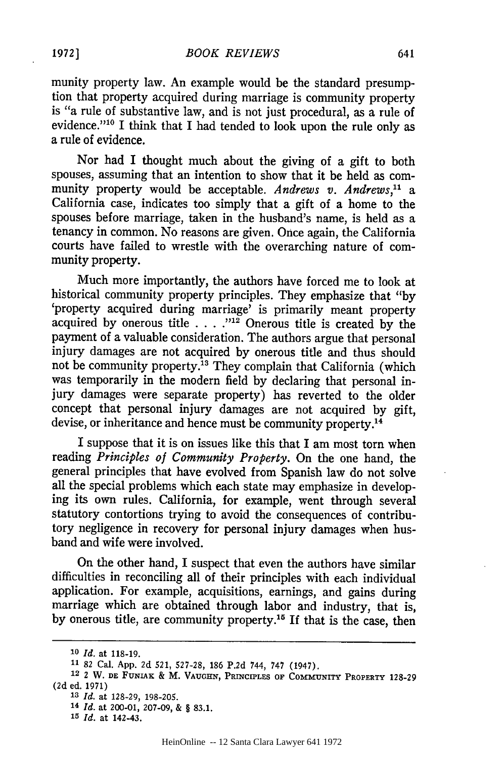munity property law. An example would be the standard presumption that property acquired during marriage is community property is "a rule of substantive law, and is not just procedural, as a rule of evidence."<sup>10</sup> I think that I had tended to look upon the rule only as a rule of evidence.

Nor had I thought much about the giving of a gift to both spouses, assuming that an intention to show that it be held as community property would be acceptable. *Andrews v. Andrews," a* California case, indicates too simply that a gift of a home to the spouses before marriage, taken in the husband's name, is held as a tenancy in common. No reasons are given. Once again, the California courts have failed to wrestle with the overarching nature of community property.

Much more importantly, the authors have forced me to look at historical community property principles. They emphasize that "by 'property acquired during marriage' is primarily meant property acquired by onerous title **....** *12* Onerous title is created by the payment of a valuable consideration. The authors argue that personal injury damages are not acquired by onerous title and thus should not be community property.<sup>13</sup> They complain that California (which was temporarily in the modern field by declaring that personal injury damages were separate property) has reverted to the older concept that personal injury damages are not acquired by gift, devise, or inheritance and hence must be community property.<sup>14</sup>

I suppose that it is on issues like this that I am most torn when reading *Principles of Community Property.* On the one hand, the general principles that have evolved from Spanish law do not solve all the special problems which each state may emphasize in developing its own rules. California, for example, went through several statutory contortions trying to avoid the consequences of contributory negligence in recovery for personal injury damages when husband and wife were involved.

On the other hand, I suspect that even the authors have similar difficulties in reconciling all of their principles with each individual application. For example, acquisitions, earnings, and gains during marriage which are obtained through labor and industry, that is, by onerous title, are community property.<sup>15</sup> If that is the case, then

**<sup>10</sup>***Id.* at **118-19.**

**<sup>11 82</sup>** Cal. App. 2d 521, 527-28, 186 P.2d 744, **747** (1947). **<sup>12</sup>**2 W. **DE** FUNIAK & M. **VAUGHN, PRINCIPLES OF COMMUNITY PROPERTY 128-29 (2d** ed. 1971)

*<sup>13</sup> Id.* at 128-29, 198-205.

**<sup>14</sup>***Id.* at 200-01, 207-09, & § 83.1.

**<sup>15</sup>***Id.* at 142-43.